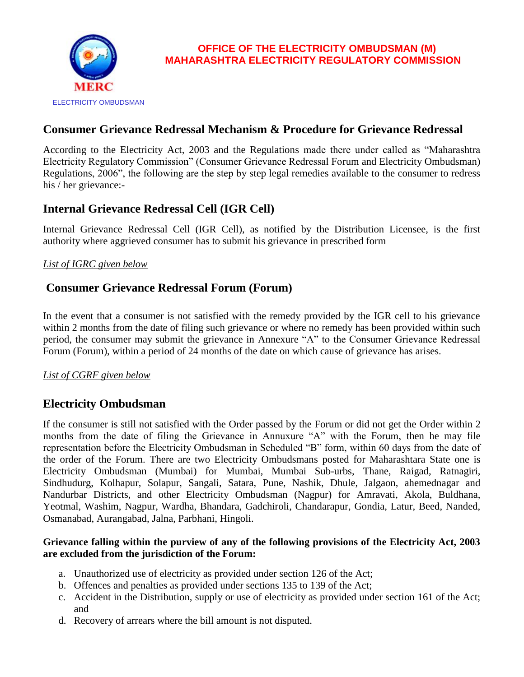

### **Consumer Grievance Redressal Mechanism & Procedure for Grievance Redressal**

According to the Electricity Act, 2003 and the Regulations made there under called as "Maharashtra Electricity Regulatory Commission" (Consumer Grievance Redressal Forum and Electricity Ombudsman) Regulations, 2006", the following are the step by step legal remedies available to the consumer to redress his / her grievance:-

## **Internal Grievance Redressal Cell (IGR Cell)**

Internal Grievance Redressal Cell (IGR Cell), as notified by the Distribution Licensee, is the first authority where aggrieved consumer has to submit his grievance in prescribed form

#### *List of IGRC given below*

### **Consumer Grievance Redressal Forum (Forum)**

In the event that a consumer is not satisfied with the remedy provided by the IGR cell to his grievance within 2 months from the date of filing such grievance or where no remedy has been provided within such period, the consumer may submit the grievance in Annexure "A" to the Consumer Grievance Redressal Forum (Forum), within a period of 24 months of the date on which cause of grievance has arises.

#### *List of CGRF given below*

## **Electricity Ombudsman**

If the consumer is still not satisfied with the Order passed by the Forum or did not get the Order within 2 months from the date of filing the Grievance in Annuxure "A" with the Forum, then he may file representation before the Electricity Ombudsman in Scheduled "B" form, within 60 days from the date of the order of the Forum. There are two Electricity Ombudsmans posted for Maharashtara State one is Electricity Ombudsman (Mumbai) for Mumbai, Mumbai Sub-urbs, Thane, Raigad, Ratnagiri, Sindhudurg, Kolhapur, Solapur, Sangali, Satara, Pune, Nashik, Dhule, Jalgaon, ahemednagar and Nandurbar Districts, and other Electricity Ombudsman (Nagpur) for Amravati, Akola, Buldhana, Yeotmal, Washim, Nagpur, Wardha, Bhandara, Gadchiroli, Chandarapur, Gondia, Latur, Beed, Nanded, Osmanabad, Aurangabad, Jalna, Parbhani, Hingoli.

#### **Grievance falling within the purview of any of the following provisions of the Electricity Act, 2003 are excluded from the jurisdiction of the Forum:**

- a. Unauthorized use of electricity as provided under section 126 of the Act;
- b. Offences and penalties as provided under sections 135 to 139 of the Act;
- c. Accident in the Distribution, supply or use of electricity as provided under section 161 of the Act; and
- d. Recovery of arrears where the bill amount is not disputed.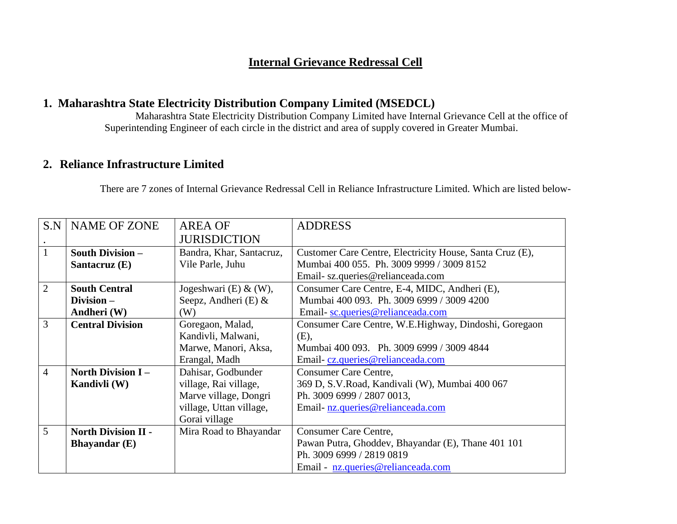## **Internal Grievance Redressal Cell**

### **1. Maharashtra State Electricity Distribution Company Limited (MSEDCL)**

Maharashtra State Electricity Distribution Company Limited have Internal Grievance Cell at the office of Superintending Engineer of each circle in the district and area of supply covered in Greater Mumbai.

## **2. Reliance Infrastructure Limited**

There are 7 zones of Internal Grievance Redressal Cell in Reliance Infrastructure Limited. Which are listed below-

| S.N            | <b>NAME OF ZONE</b>        | <b>AREA OF</b>           | <b>ADDRESS</b>                                           |  |  |  |  |
|----------------|----------------------------|--------------------------|----------------------------------------------------------|--|--|--|--|
|                |                            | <b>JURISDICTION</b>      |                                                          |  |  |  |  |
|                |                            |                          |                                                          |  |  |  |  |
| $\overline{1}$ | <b>South Division -</b>    | Bandra, Khar, Santacruz, | Customer Care Centre, Electricity House, Santa Cruz (E), |  |  |  |  |
|                | Santacruz (E)              | Vile Parle, Juhu         | Mumbai 400 055. Ph. 3009 9999 / 3009 8152                |  |  |  |  |
|                |                            |                          | Email-sz.queries@relianceada.com                         |  |  |  |  |
| $\overline{2}$ | <b>South Central</b>       | Jogeshwari (E) $\&$ (W), | Consumer Care Centre, E-4, MIDC, Andheri (E),            |  |  |  |  |
|                | Division-                  | Seepz, Andheri (E) &     | Mumbai 400 093. Ph. 3009 6999 / 3009 4200                |  |  |  |  |
|                | Andheri (W)                | (W)                      | Email-sc.queries@relianceada.com                         |  |  |  |  |
| $\overline{3}$ | <b>Central Division</b>    | Goregaon, Malad,         | Consumer Care Centre, W.E.Highway, Dindoshi, Goregaon    |  |  |  |  |
|                |                            | Kandivli, Malwani,       | (E),                                                     |  |  |  |  |
|                |                            | Marwe, Manori, Aksa,     | Mumbai 400 093. Ph. 3009 6999 / 3009 4844                |  |  |  |  |
|                |                            | Erangal, Madh            | Email-cz.queries@relianceada.com                         |  |  |  |  |
| $\overline{4}$ | <b>North Division I-</b>   | Dahisar, Godbunder       | <b>Consumer Care Centre,</b>                             |  |  |  |  |
|                | Kandivli (W)               | village, Rai village,    | 369 D, S.V.Road, Kandivali (W), Mumbai 400 067           |  |  |  |  |
|                |                            | Marve village, Dongri    | Ph. 3009 6999 / 2807 0013,                               |  |  |  |  |
|                |                            | village, Uttan village,  | Email-nz.queries@relianceada.com                         |  |  |  |  |
|                |                            | Gorai village            |                                                          |  |  |  |  |
| 5              | <b>North Division II -</b> | Mira Road to Bhayandar   | Consumer Care Centre,                                    |  |  |  |  |
|                | Bhayandar $(E)$            |                          | Pawan Putra, Ghoddev, Bhayandar (E), Thane 401 101       |  |  |  |  |
|                |                            |                          | Ph. 3009 6999 / 2819 0819                                |  |  |  |  |
|                |                            |                          | Email - nz.queries@relianceada.com                       |  |  |  |  |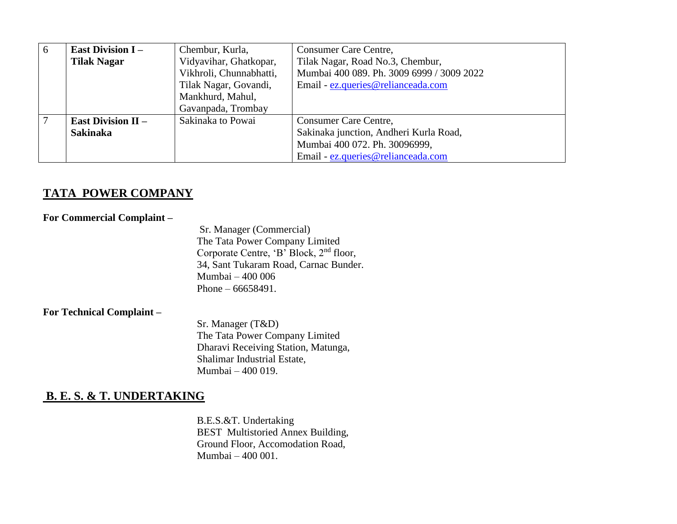| 6 | <b>East Division I-</b>   | Chembur, Kurla,         | Consumer Care Centre,                     |  |  |
|---|---------------------------|-------------------------|-------------------------------------------|--|--|
|   | <b>Tilak Nagar</b>        | Vidyavihar, Ghatkopar,  | Tilak Nagar, Road No.3, Chembur,          |  |  |
|   |                           | Vikhroli, Chunnabhatti, | Mumbai 400 089. Ph. 3009 6999 / 3009 2022 |  |  |
|   |                           | Tilak Nagar, Govandi,   | Email - ez.queries@relianceada.com        |  |  |
|   |                           | Mankhurd, Mahul,        |                                           |  |  |
|   |                           | Gavanpada, Trombay      |                                           |  |  |
|   | <b>East Division II –</b> | Sakinaka to Powai       | Consumer Care Centre,                     |  |  |
|   | <b>Sakinaka</b>           |                         | Sakinaka junction, Andheri Kurla Road,    |  |  |
|   |                           |                         | Mumbai 400 072. Ph. 30096999,             |  |  |
|   |                           |                         | Email - ez.queries@relianceada.com        |  |  |

## **TATA POWER COMPANY**

|  | <b>For Commercial Complaint -</b> |  |
|--|-----------------------------------|--|
|  |                                   |  |

Sr. Manager (Commercial) The Tata Power Company Limited Corporate Centre, 'B' Block, 2nd floor, 34, Sant Tukaram Road, Carnac Bunder. Mumbai – 400 006 Phone – 66658491.

#### **For Technical Complaint –**

Sr. Manager (T&D) The Tata Power Company Limited Dharavi Receiving Station, Matunga, Shalimar Industrial Estate, Mumbai – 400 019.

## **B. E. S. & T. UNDERTAKING**

B.E.S.&T. Undertaking BEST Multistoried Annex Building, Ground Floor, Accomodation Road, Mumbai – 400 001.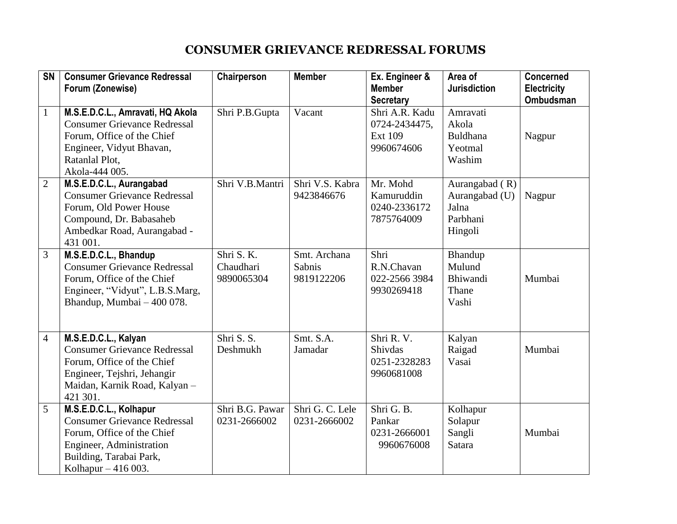# **CONSUMER GRIEVANCE REDRESSAL FORUMS**

| SN             | <b>Consumer Grievance Redressal</b><br>Forum (Zonewise)                                                                                                                    | Chairperson                           | <b>Member</b>                        | Ex. Engineer &<br><b>Member</b>                                 | Area of<br><b>Jurisdiction</b>                                     | <b>Concerned</b><br><b>Electricity</b> |
|----------------|----------------------------------------------------------------------------------------------------------------------------------------------------------------------------|---------------------------------------|--------------------------------------|-----------------------------------------------------------------|--------------------------------------------------------------------|----------------------------------------|
|                |                                                                                                                                                                            |                                       |                                      | <b>Secretary</b>                                                |                                                                    | <b>Ombudsman</b>                       |
| $\mathbf{1}$   | M.S.E.D.C.L., Amravati, HQ Akola<br><b>Consumer Grievance Redressal</b><br>Forum, Office of the Chief<br>Engineer, Vidyut Bhavan,<br>Ratanlal Plot,<br>Akola-444 005.      | Shri P.B.Gupta                        | Vacant                               | Shri A.R. Kadu<br>0724-2434475,<br><b>Ext 109</b><br>9960674606 | Amravati<br>Akola<br>Buldhana<br>Yeotmal<br>Washim                 | Nagpur                                 |
| $\overline{2}$ | M.S.E.D.C.L., Aurangabad<br><b>Consumer Grievance Redressal</b><br>Forum, Old Power House<br>Compound, Dr. Babasaheb<br>Ambedkar Road, Aurangabad -<br>431 001.            | Shri V.B.Mantri                       | Shri V.S. Kabra<br>9423846676        | Mr. Mohd<br>Kamuruddin<br>0240-2336172<br>7875764009            | Aurangabad $(R)$<br>Aurangabad (U)<br>Jalna<br>Parbhani<br>Hingoli | Nagpur                                 |
| 3              | M.S.E.D.C.L., Bhandup<br><b>Consumer Grievance Redressal</b><br>Forum, Office of the Chief<br>Engineer, "Vidyut", L.B.S.Marg,<br>Bhandup, Mumbai - 400 078.                | Shri S. K.<br>Chaudhari<br>9890065304 | Smt. Archana<br>Sabnis<br>9819122206 | Shri<br>R.N.Chavan<br>022-2566 3984<br>9930269418               | Bhandup<br>Mulund<br>Bhiwandi<br>Thane<br>Vashi                    | Mumbai                                 |
| $\overline{4}$ | M.S.E.D.C.L., Kalyan<br><b>Consumer Grievance Redressal</b><br>Forum, Office of the Chief<br>Engineer, Tejshri, Jehangir<br>Maidan, Karnik Road, Kalyan -<br>421 301.      | Shri S. S.<br>Deshmukh                | Smt. S.A.<br>Jamadar                 | Shri R.V.<br>Shivdas<br>0251-2328283<br>9960681008              | Kalyan<br>Raigad<br>Vasai                                          | Mumbai                                 |
| 5              | M.S.E.D.C.L., Kolhapur<br><b>Consumer Grievance Redressal</b><br>Forum, Office of the Chief<br>Engineer, Administration<br>Building, Tarabai Park,<br>Kolhapur $-416003$ . | Shri B.G. Pawar<br>0231-2666002       | Shri G. C. Lele<br>0231-2666002      | Shri G. B.<br>Pankar<br>0231-2666001<br>9960676008              | Kolhapur<br>Solapur<br>Sangli<br>Satara                            | Mumbai                                 |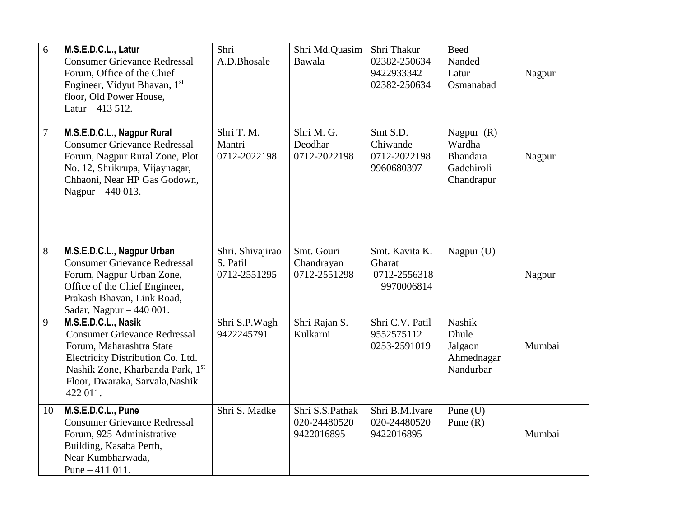| 6  | M.S.E.D.C.L., Latur<br><b>Consumer Grievance Redressal</b><br>Forum, Office of the Chief<br>Engineer, Vidyut Bhavan, 1st<br>floor, Old Power House,<br>Latur $-413512$ .                                         | Shri<br>A.D.Bhosale                          | Shri Md.Quasim<br><b>Bawala</b>               | Shri Thakur<br>02382-250634<br>9422933342<br>02382-250634 | <b>Beed</b><br>Nanded<br>Latur<br>Osmanabad                           | Nagpur |
|----|------------------------------------------------------------------------------------------------------------------------------------------------------------------------------------------------------------------|----------------------------------------------|-----------------------------------------------|-----------------------------------------------------------|-----------------------------------------------------------------------|--------|
| 7  | M.S.E.D.C.L., Nagpur Rural<br><b>Consumer Grievance Redressal</b><br>Forum, Nagpur Rural Zone, Plot<br>No. 12, Shrikrupa, Vijaynagar,<br>Chhaoni, Near HP Gas Godown,<br>Nagpur – 440 013.                       | Shri T. M.<br>Mantri<br>0712-2022198         | Shri M. G.<br>Deodhar<br>0712-2022198         | Smt S.D.<br>Chiwande<br>0712-2022198<br>9960680397        | Nagpur $(R)$<br>Wardha<br><b>Bhandara</b><br>Gadchiroli<br>Chandrapur | Nagpur |
| 8  | M.S.E.D.C.L., Nagpur Urban<br><b>Consumer Grievance Redressal</b><br>Forum, Nagpur Urban Zone,<br>Office of the Chief Engineer,<br>Prakash Bhavan, Link Road,<br>Sadar, Nagpur $-440001$ .                       | Shri. Shivajirao<br>S. Patil<br>0712-2551295 | Smt. Gouri<br>Chandrayan<br>0712-2551298      | Smt. Kavita K.<br>Gharat<br>0712-2556318<br>9970006814    | Nagpur (U)                                                            | Nagpur |
| 9  | M.S.E.D.C.L., Nasik<br><b>Consumer Grievance Redressal</b><br>Forum, Maharashtra State<br>Electricity Distribution Co. Ltd.<br>Nashik Zone, Kharbanda Park, 1st<br>Floor, Dwaraka, Sarvala, Nashik -<br>422 011. | Shri S.P.Wagh<br>9422245791                  | Shri Rajan S.<br>Kulkarni                     | Shri C.V. Patil<br>9552575112<br>0253-2591019             | <b>Nashik</b><br>Dhule<br>Jalgaon<br>Ahmednagar<br>Nandurbar          | Mumbai |
| 10 | M.S.E.D.C.L., Pune<br><b>Consumer Grievance Redressal</b><br>Forum, 925 Administrative<br>Building, Kasaba Perth,<br>Near Kumbharwada,<br>Pune $-411$ 011.                                                       | Shri S. Madke                                | Shri S.S.Pathak<br>020-24480520<br>9422016895 | Shri B.M.Ivare<br>020-24480520<br>9422016895              | Pune $(U)$<br>Pune $(R)$                                              | Mumbai |